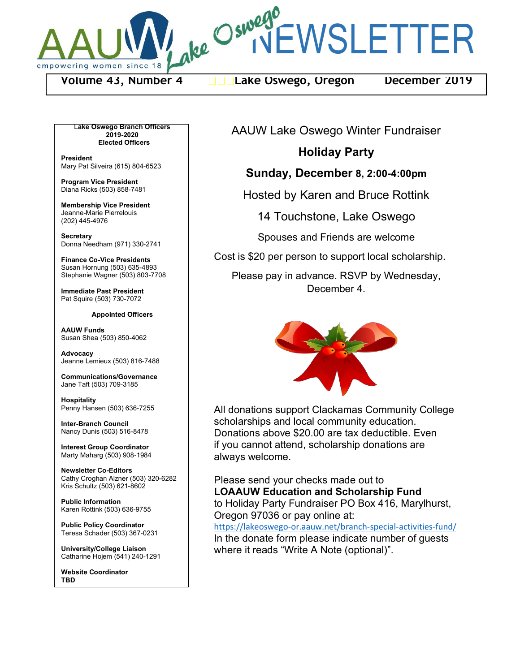

ake Oswegr EWSLETTER

**Volume 43, Number 4 Lake Oswego, Oregon December 2019**

L**ake Oswego Branch Officers 2019-2020 Elected Officers**

**President** Mary Pat Silveira (615) 804-6523

**Program Vice President** Diana Ricks (503) 858-7481

**Membership Vice President** Jeanne-Marie Pierrelouis (202) 445-4976

**Secretary** Donna Needham (971) 330-2741

**Finance Co-Vice Presidents** Susan Hornung (503) 635-4893 Stephanie Wagner (503) 803-7708

**Immediate Past President** Pat Squire (503) 730-7072

**Appointed Officers**

**AAUW Funds** Susan Shea (503) 850-4062

**Advocacy** Jeanne Lemieux (503) 816-7488

**Communications/Governance** Jane Taft (503) 709-3185

**Hospitality** Penny Hansen (503) 636-7255

**Inter-Branch Council** Nancy Dunis (503) 516-8478

**Interest Group Coordinator** Marty Maharg (503) 908-1984

**Newsletter Co-Editors** Cathy Croghan Alzner (503) 320-6282 Kris Schultz (503) 621-8602

**Public Information** Karen Rottink (503) 636-9755

**Public Policy Coordinator** Teresa Schader (503) 367-0231

**University/College Liaison** Catharine Hojem (541) 240-1291

**Website Coordinator TBD**

AAUW Lake Oswego Winter Fundraiser

# **Holiday Party**

## **Sunday, December 8, 2:00-4:00pm**

Hosted by Karen and Bruce Rottink

14 Touchstone, Lake Oswego

Spouses and Friends are welcome

Cost is \$20 per person to support local scholarship.

Please pay in advance. RSVP by Wednesday, December 4.



All donations support Clackamas Community College scholarships and local community education. Donations above \$20.00 are tax deductible. Even if you cannot attend, scholarship donations are always welcome.

Please send your checks made out to **LOAAUW Education and Scholarship Fund** to Holiday Party Fundraiser PO Box 416, Marylhurst, Oregon 97036 or pay online at:

https://lakeoswego-or.aauw.net/branch-special-activities-fund/ In the donate form please indicate number of guests where it reads "Write A Note (optional)".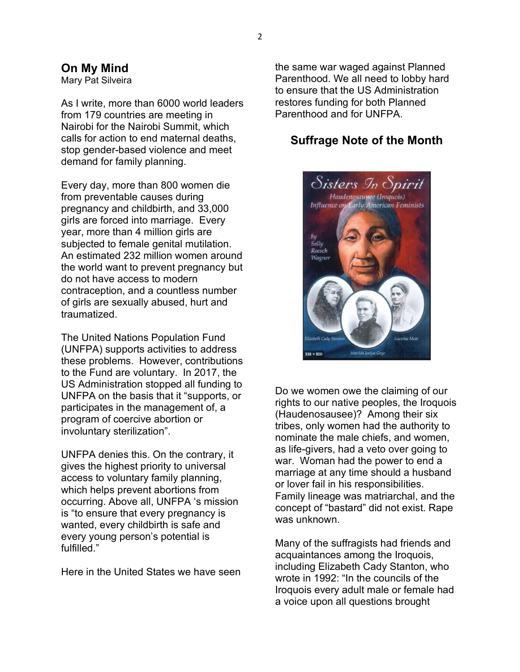## **On My Mind**

Mary Pat Silveira

As I write, more than 6000 world leaders from 179 countries are meeting in Nairobi for the Nairobi Summit, which calls for action to end maternal deaths, stop gender-based violence and meet demand for family planning.

Every day, more than 800 women die from preventable causes during pregnancy and childbirth, and 33,000 girls are forced into marriage. Every year, more than 4 million girls are subjected to female genital mutilation. An estimated 232 million women around the world want to prevent pregnancy but do not have access to modern contraception, and a countless number of girls are sexually abused, hurt and traumatized.

The United Nations Population Fund (UNFPA) supports activities to address these problems. However, contributions to the Fund are voluntary. In 2017, the US Administration stopped all funding to UNFPA on the basis that it "supports, or participates in the management of, a program of coercive abortion or involuntary sterilization".

UNFPA denies this. On the contrary, it gives the highest priority to universal access to voluntary family planning, which helps prevent abortions from occurring. Above all, UNFPA 's mission is "to ensure that every pregnancy is wanted, every childbirth is safe and every young person's potential is fulfilled."

Here in the United States we have seen

the same war waged against Planned Parenthood. We all need to lobby hard to ensure that the US Administration restores funding for both Planned Parenthood and for UNFPA.

### **Suffrage Note of the Month**



Do we women owe the claiming of our rights to our native peoples, the Iroquois (Haudenosausee)? Among their six tribes, only women had the authority to nominate the male chiefs, and women, as life-givers, had a veto over going to war. Woman had the power to end a marriage at any time should a husband or lover fail in his responsibilities. Family lineage was matriarchal, and the concept of "bastard" did not exist. Rape was unknown.

Many of the suffragists had friends and acquaintances among the Iroquois, including Elizabeth Cady Stanton, who wrote in 1992: "In the councils of the Iroquois every adult male or female had a voice upon all questions brought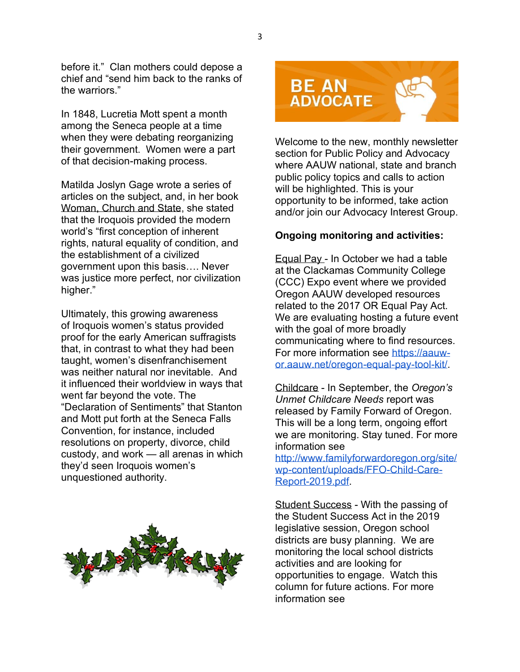before it." Clan mothers could depose a chief and "send him back to the ranks of the warriors"

In 1848, Lucretia Mott spent a month among the Seneca people at a time when they were debating reorganizing their government. Women were a part of that decision-making process.

Matilda Joslyn Gage wrote a series of articles on the subject, and, in her book Woman, Church and State, she stated that the Iroquois provided the modern world's "first conception of inherent rights, natural equality of condition, and the establishment of a civilized government upon this basis.... Never was justice more perfect, nor civilization higher."

Ultimately, this growing awareness of Iroquois women's status provided proof for the early American suffragists that, in contrast to what they had been taught, women's disenfranchisement was neither natural nor inevitable. And it influenced their worldview in ways that went far beyond the vote. The "Declaration of Sentiments" that Stanton and Mott put forth at the Seneca Falls Convention, for instance, included resolutions on property, divorce, child custody, and work  $-$  all arenas in which they'd seen Iroquois women's unquestioned authority.



**BE AN ADVOCATE** 

Welcome to the new, monthly newsletter section for Public Policy and Advocacy where AAUW national, state and branch public policy topics and calls to action will be highlighted. This is your opportunity to be informed, take action and/or join our Advocacy Interest Group.

#### **Ongoing monitoring and activities:**

Equal Pay - In October we had a table at the Clackamas Community College (CCC) Expo event where we provided Oregon AAUW developed resources related to the 2017 OR Equal Pay Act. We are evaluating hosting a future event with the goal of more broadly communicating where to find resources. For more information see https://aauwor.aauw.net/oregon-equal-pay-tool-kit/.

Childcare - In September, the *Oregon's Unmet Childcare Needs* report was released by Family Forward of Oregon. This will be a long term, ongoing effort we are monitoring. Stay tuned. For more information see

http://www.familyforwardoregon.org/site/ wp-content/uploads/FFO-Child-Care-Report-2019.pdf.

Student Success - With the passing of the Student Success Act in the 2019 legislative session, Oregon school districts are busy planning. We are monitoring the local school districts activities and are looking for opportunities to engage. Watch this column for future actions. For more information see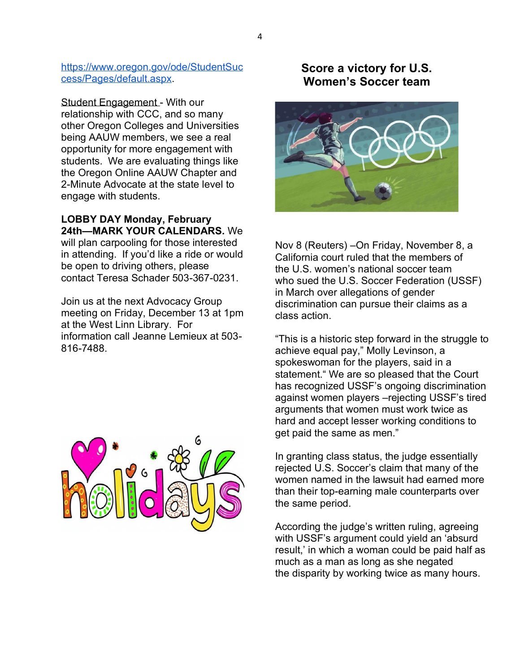https://www.oregon.gov/ode/StudentSuc cess/Pages/default.aspx.

Student Engagement - With our relationship with CCC, and so many other Oregon Colleges and Universities being AAUW members, we see a real opportunity for more engagement with students. We are evaluating things like the Oregon Online AAUW Chapter and 2-Minute Advocate at the state level to engage with students.

**LOBBY DAY Monday, February 24th—MARK YOUR CALENDARS.** We will plan carpooling for those interested in attending. If you'd like a ride or would be open to driving others, please contact Teresa Schader 503-367-0231.

Join us at the next Advocacy Group meeting on Friday, December 13 at 1pm at the West Linn Library. For information call Jeanne Lemieux at 503- 816-7488.



# **Score a victory for U.S. Women¶s Soccer team**



Nov 8 (Reuters) – On Friday, November 8, a California court ruled that the members of the U.S. women's national soccer team who sued the U.S. Soccer Federation (USSF) in March over allegations of gender discrimination can pursue their claims as a class action.

"This is a historic step forward in the struggle to achieve equal pay," Molly Levinson, a spokeswoman for the players, said in a statement." We are so pleased that the Court has recognized USSF's ongoing discrimination against women players - rejecting USSF's tired arguments that women must work twice as hard and accept lesser working conditions to get paid the same as men."

In granting class status, the judge essentially rejected U.S. Soccer's claim that many of the women named in the lawsuit had earned more than their top-earning male counterparts over the same period.

According the judge's written ruling, agreeing with USSF's argument could yield an 'absurd result,' in which a woman could be paid half as much as a man as long as she negated the disparity by working twice as many hours.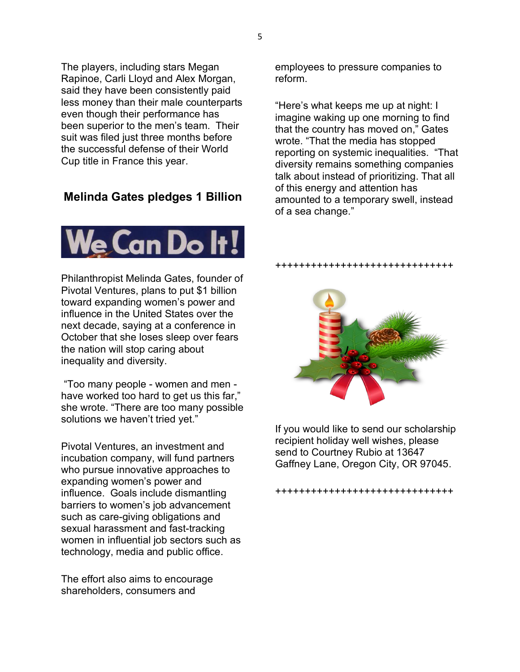The players, including stars Megan Rapinoe, Carli Lloyd and Alex Morgan, said they have been consistently paid less money than their male counterparts even though their performance has been superior to the men's team. Their suit was filed just three months before the successful defense of their World Cup title in France this year.

# **Melinda Gates pledges 1 Billion**



Philanthropist Melinda Gates, founder of Pivotal Ventures, plans to put \$1 billion toward expanding women's power and influence in the United States over the next decade, saying at a conference in October that she loses sleep over fears the nation will stop caring about inequality and diversity.

"Too many people - women and men have worked too hard to get us this far," she wrote. "There are too many possible solutions we haven't tried yet."

Pivotal Ventures, an investment and incubation company, will fund partners who pursue innovative approaches to expanding women's power and influence. Goals include dismantling barriers to women's job advancement such as care-giving obligations and sexual harassment and fast-tracking women in influential job sectors such as technology, media and public office.

The effort also aims to encourage shareholders, consumers and

employees to pressure companies to reform.

"Here's what keeps me up at night: I imagine waking up one morning to find that the country has moved on," Gates wrote. "That the media has stopped reporting on systemic inequalities. "That diversity remains something companies talk about instead of prioritizing. That all of this energy and attention has amounted to a temporary swell, instead of a sea change.´

#### ++++++++++++++++++++++++++++++



If you would like to send our scholarship recipient holiday well wishes, please send to Courtney Rubio at 13647 Gaffney Lane, Oregon City, OR 97045.

#### ++++++++++++++++++++++++++++++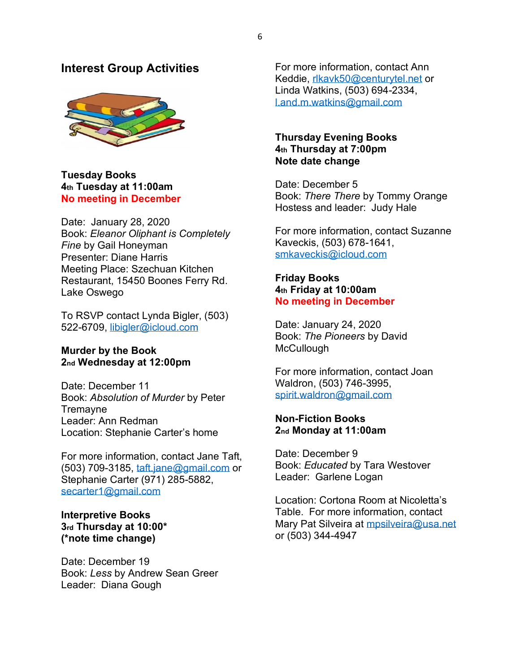### **Interest Group Activities**



#### **Tuesday Books 4th Tuesday at 11:00am No meeting in December**

Date: January 28, 2020 Book: *Eleanor Oliphant is Completely Fine* by Gail Honeyman Presenter: Diane Harris Meeting Place: Szechuan Kitchen Restaurant, 15450 Boones Ferry Rd. Lake Oswego

To RSVP contact Lynda Bigler, (503) 522-6709, libigler@icloud.com

#### **Murder by the Book 2nd Wednesday at 12:00pm**

Date: December 11 Book: *Absolution of Murder* by Peter **Tremayne** Leader: Ann Redman Location: Stephanie Carter's home

For more information, contact Jane Taft, (503) 709-3185, taft.jane@gmail.com or Stephanie Carter (971) 285-5882, secarter1@gmail.com

#### **Interpretive Books 3rd Thursday at 10:00\* (\*note time change)**

Date: December 19 Book: *Less* by Andrew Sean Greer Leader: Diana Gough

For more information, contact Ann Keddie, rlkavk50@centurytel.net or Linda Watkins, (503) 694-2334, l.and.m.watkins@gmail.com

### **Thursday Evening Books 4th Thursday at 7:00pm Note date change**

Date: December 5 Book: *There There* by Tommy Orange Hostess and leader: Judy Hale

For more information, contact Suzanne Kaveckis, (503) 678-1641, smkaveckis@icloud.com

### **Friday Books 4th Friday at 10:00am No meeting in December**

Date: January 24, 2020 Book: *The Pioneers* by David **McCullough** 

For more information, contact Joan Waldron, (503) 746-3995, spirit.waldron@gmail.com

### **Non-Fiction Books 2nd Monday at 11:00am**

Date: December 9 Book: *Educated* by Tara Westover Leader: Garlene Logan

Location: Cortona Room at Nicoletta's Table. For more information, contact Mary Pat Silveira at mpsilveira@usa.net or (503) 344-4947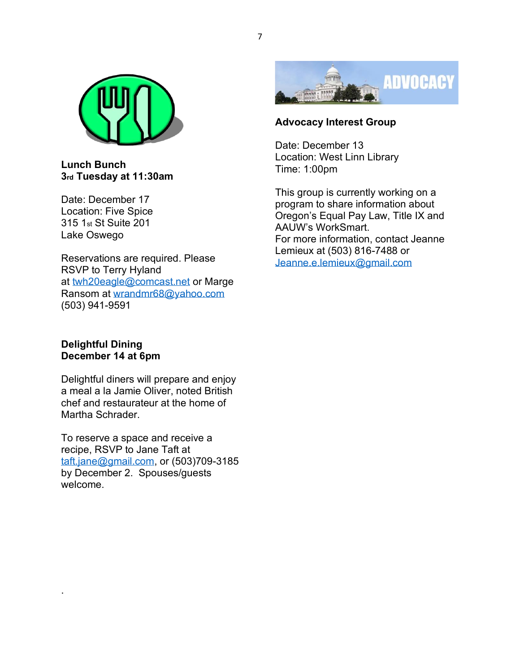

**Lunch Bunch 3rd Tuesday at 11:30am**

Date: December 17 Location: Five Spice 315 1st St Suite 201 Lake Oswego

Reservations are required. Please RSVP to Terry Hyland at twh20eagle@comcast.net or Marge Ransom at wrandmr68@yahoo.com (503) 941-9591

### **Delightful Dining December 14 at 6pm**

.

Delightful diners will prepare and enjoy a meal a la Jamie Oliver, noted British chef and restaurateur at the home of Martha Schrader.

To reserve a space and receive a recipe, RSVP to Jane Taft at taft.jane@gmail.com, or (503)709-3185 by December 2. Spouses/guests welcome.



# **Advocacy Interest Group**

Date: December 13 Location: West Linn Library Time: 1:00pm

This group is currently working on a program to share information about Oregon's Equal Pay Law, Title IX and AAUW's WorkSmart. For more information, contact Jeanne Lemieux at (503) 816-7488 or Jeanne.e.lemieux@gmail.com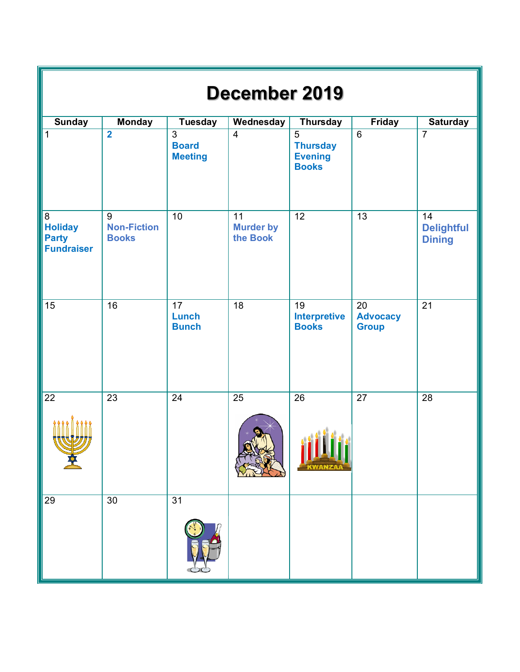| December 2019                                            |                                         |                                                  |                                    |                                                        |                                       |                                          |  |  |  |  |  |
|----------------------------------------------------------|-----------------------------------------|--------------------------------------------------|------------------------------------|--------------------------------------------------------|---------------------------------------|------------------------------------------|--|--|--|--|--|
| <b>Sunday</b>                                            | <b>Monday</b>                           | <b>Tuesday</b>                                   | <b>Wednesday</b>                   | <b>Thursday</b>                                        | Friday                                | <b>Saturday</b>                          |  |  |  |  |  |
| 1                                                        | $\overline{2}$                          | $\overline{3}$<br><b>Board</b><br><b>Meeting</b> | $\overline{4}$                     | 5<br><b>Thursday</b><br><b>Evening</b><br><b>Books</b> | $6\phantom{1}$                        | $\overline{7}$                           |  |  |  |  |  |
| 8<br><b>Holiday</b><br><b>Party</b><br><b>Fundraiser</b> | 9<br><b>Non-Fiction</b><br><b>Books</b> | 10                                               | 11<br><b>Murder by</b><br>the Book | 12                                                     | 13                                    | 14<br><b>Delightful</b><br><b>Dining</b> |  |  |  |  |  |
| 15                                                       | 16                                      | $\overline{17}$<br>Lunch<br><b>Bunch</b>         | 18                                 | 19<br><b>Interpretive</b><br><b>Books</b>              | 20<br><b>Advocacy</b><br><b>Group</b> | $\overline{21}$                          |  |  |  |  |  |
| $\overline{22}$                                          | 23                                      | 24                                               | 25                                 | 26                                                     | 27                                    | 28                                       |  |  |  |  |  |
| 29                                                       | 30                                      | 31                                               |                                    |                                                        |                                       |                                          |  |  |  |  |  |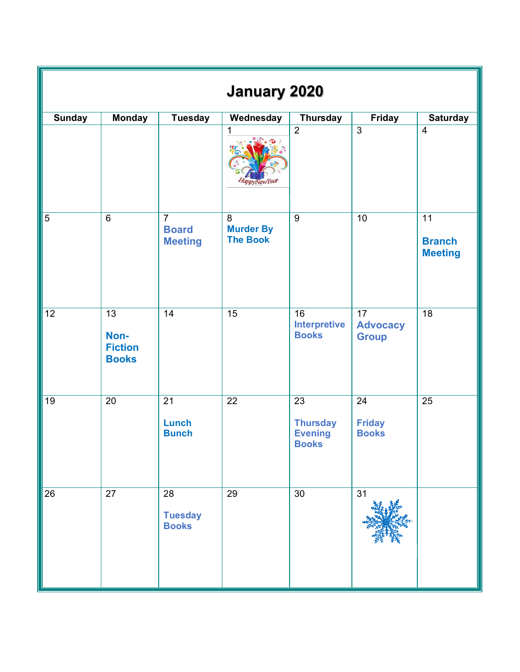| <b>January 2020</b> |                                                           |                                                  |                                          |                                                                      |                                                    |                                                    |  |  |  |  |
|---------------------|-----------------------------------------------------------|--------------------------------------------------|------------------------------------------|----------------------------------------------------------------------|----------------------------------------------------|----------------------------------------------------|--|--|--|--|
| <b>Sunday</b>       | <b>Monday</b>                                             | <b>Tuesday</b>                                   | Wednesday                                | <b>Thursday</b>                                                      | Friday                                             | <b>Saturday</b>                                    |  |  |  |  |
|                     |                                                           |                                                  | 1<br>owYear                              | $\overline{2}$                                                       | $\overline{3}$                                     | $\overline{4}$                                     |  |  |  |  |
| $\overline{5}$      | $6\phantom{1}$                                            | $\overline{7}$<br><b>Board</b><br><b>Meeting</b> | 8<br><b>Murder By</b><br><b>The Book</b> | $\overline{9}$                                                       | 10                                                 | $\overline{11}$<br><b>Branch</b><br><b>Meeting</b> |  |  |  |  |
| $\overline{12}$     | $\overline{13}$<br>Non-<br><b>Fiction</b><br><b>Books</b> | $\overline{14}$                                  | $\overline{15}$                          | 16<br><b>Interpretive</b><br><b>Books</b>                            | $\overline{17}$<br><b>Advocacy</b><br><b>Group</b> | $\overline{18}$                                    |  |  |  |  |
| 19                  | 20                                                        | $\overline{21}$<br>Lunch<br><b>Bunch</b>         | 22                                       | $\overline{23}$<br><b>Thursday</b><br><b>Evening</b><br><b>Books</b> | 24<br><b>Friday</b><br><b>Books</b>                | $\overline{25}$                                    |  |  |  |  |
| 26                  | 27                                                        | 28<br><b>Tuesday</b><br><b>Books</b>             | 29                                       | 30                                                                   | 31                                                 |                                                    |  |  |  |  |